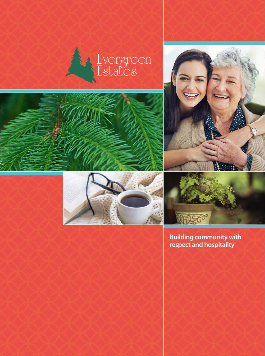







**Building community with respect and hospitality**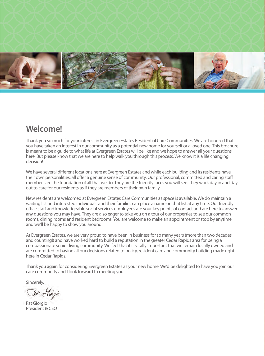

### **Welcome!**

Thank you so much for your interest in Evergreen Estates Residential Care Communities. We are honored that you have taken an interest in our community as a potential new home for yourself or a loved one. This brochure is meant to be a guide to what life at Evergreen Estates will be like and we hope to answer all your questions here. But please know that we are here to help walk you through this process. We know it is a life changing decision!

We have several different locations here at Evergreen Estates and while each building and its residents have their own personalities, all offer a genuine sense of community. Our professional, committed and caring staff members are the foundation of all that we do. They are the friendly faces you will see. They work day in and day out to care for our residents as if they are members of their own family.

New residents are welcomed at Evergreen Estates Care Communities as space is available. We do maintain a waiting list and interested individuals and their families can place a name on that list at any time. Our friendly office staff and knowledgeable social services employees are your key points of contact and are here to answer any questions you may have. They are also eager to take you on a tour of our properties to see our common rooms, dining rooms and resident bedrooms. You are welcome to make an appointment or stop by anytime and we'll be happy to show you around.

At Evergreen Estates, we are very proud to have been in business for so many years (more than two decades and counting!) and have worked hard to build a reputation in the greater Cedar Rapids area for being a compassionate senior living community. We feel that it is vitally important that we remain locally owned and are committed to having all our decisions related to policy, resident care and community building made right here in Cedar Rapids.

Thank you again for considering Evergreen Estates as your new home. We'd be delighted to have you join our care community and I look forward to meeting you.

Sincerely,

Bat Hwigio

Pat Giorgio President & CEO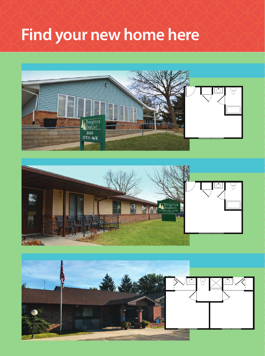# **Find your new home here**





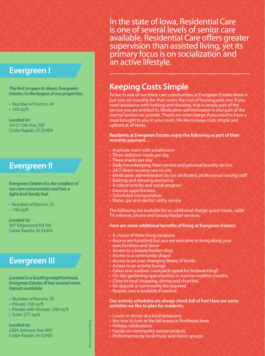### **Evergreen I**

#### **The first to open its doors, Evergreen** *Estates I is the largest of our properties.*

- Number of Rooms: 49
- 143 sq ft

*Located at:* 3410 12th Ave. SW Cedar Rapids, IA 52404

### **Evergreen II**

#### *Evergreen Estates II is the smallest of our care communities and has a tight-knit family feel.*

- Number of Rooms: 23
- 146 sq ft

*Located at:* 307 Edgewood Rd SW Cedar Rapids, IA 52404

### **Evergreen III**

#### *Located in a bustling neighborhood, Evergreen Estates III has several room layouts available.*

- Number of Rooms: 39
- Private: 158 sq ft
- Private with Shower: 240 sq ft
- Suite: 277 sq ft

*Located at:* 2204 Johnson Ave NW Cedar Rapids, IA 52405 In the state of Iowa, Residential Care is one of several levels of senior care available. Residential Care offers greater supervision than assisted living, yet its primary focus is on socialization and an active lifestyle.

### **Keeping Costs Simple**

To live in one of our three care communities at Evergreen Estates there is just one set monthly fee that covers the cost of housing and care. If you need assistance with bathing and dressing, that is simply part of the service you are entitled to. Medication administration is also part of the normal service we provide. There's no extra charge if you need to have a meal brought to you in your room. We like to keep costs simple and upfront at all times.

#### **Residents at Evergreen Estates enjoy the following as part of their monthly payment…**

- A private room with a bathroom
- Three delicious meals per day
- Three snacks per day
- Daily housekeeping, linen service and personal laundry service
- 24/7 direct nursing care on site
- Medication administration by our dedicated, professional nursing staff
- Bathing and dressing assistance
- A robust activity and social program
- Exercise opportunities
- Scheduled transportation
- Water, gas and electric utility service

The following are available for an additional charge: guest meals, cable TV, internet, phone and beauty/barber services.

#### **Here are some additional benefits of living at Evergreen Estates:**

- A choice of three living locations
- Rooms are furnished but you are welcome to bring along your own furniture and decor
- Access to a beauty/barber shop
- Access to a community chapel
- Access to an ever-changing library of books
- Access to an activity lounge
- Patios and outdoor courtyards (great for birdwatching!)
- On-site gardening opportunities in warmer weather months
- Close to local shopping, dining and churches
- No deposit or community fee required
- Respite care is available if needed

#### **Our activity schedules are always chock full of fun! Here are some activities we like to plan for residents:**

- Lunch or dinner at a local restaurant
- Bus tour to look at the fall leaves in Northeast Iowa
- Holiday celebrations
- Hands-on community service projects
- Performances by local music and dance groups

Photos by Jessica Rilling Photos by Jessica Rilling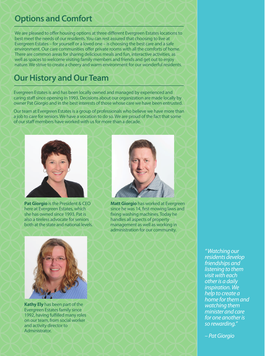### **Options and Comfort**

We are pleased to offer housing options at three different Evergreen Estates locations to best meet the needs of our residents. You can rest assured that choosing to live at Evergreen Estates – for yourself or a loved one – is choosing the best care and a safe environment. Our care communities offer private rooms with all the comforts of home. There are common areas for sharing delicious meals and fun, interactive activities, as well as spaces to welcome visiting family members and friends and get out to enjoy nature. We strive to create a cheery and warm environment for our wonderful residents.

### **Our History and Our Team**

Evergreen Estates is and has been locally owned and managed by experienced and caring staff since opening in 1993. Decisions about our organization are made locally by owner Pat Giorgio and in the best interests of those whose care we have been entrusted.

Our team at Evergreen Estates is a group of professionals who believe we have more than a job to care for seniors. We have a vocation to do so. We are proud of the fact that some of our staff members have worked with us for more than a decade.



**Pat Giorgio** is the President & CEO here at Evergreen Estates, which she has owned since 1993. Pat is also a tireless advocate for seniors both at the state and national levels.



**Matt Giorgio** has worked at Evergreen since he was 14, first mowing laws and fixing washing machines. Today he handles all aspects of property management as well as working in administration for our community.



**Kathy Ely** has been part of the Evergreen Estates family since 1992, having fulfilled many roles on our team, from social worker and activity director to Administrator.

*"Watching our residents develop friendships and listening to them visit with each other is a daily inspiration. We help to create a home for them and watching them minister and care for one another is so rewarding."* 

*– Pat Giorgio*